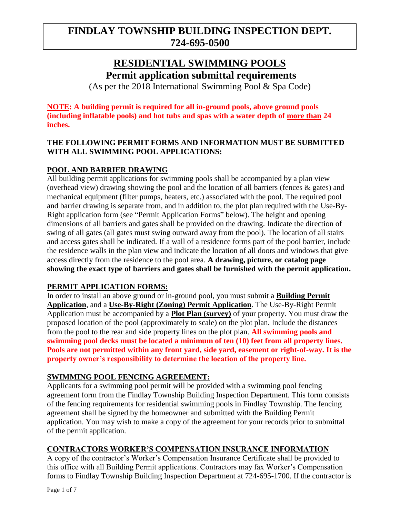## **RESIDENTIAL SWIMMING POOLS**

**Permit application submittal requirements**

(As per the 2018 International Swimming Pool & Spa Code)

**NOTE: A building permit is required for all in-ground pools, above ground pools (including inflatable pools) and hot tubs and spas with a water depth of more than 24 inches.**

### **THE FOLLOWING PERMIT FORMS AND INFORMATION MUST BE SUBMITTED WITH ALL SWIMMING POOL APPLICATIONS:**

## **POOL AND BARRIER DRAWING**

All building permit applications for swimming pools shall be accompanied by a plan view (overhead view) drawing showing the pool and the location of all barriers (fences & gates) and mechanical equipment (filter pumps, heaters, etc.) associated with the pool. The required pool and barrier drawing is separate from, and in addition to, the plot plan required with the Use-By-Right application form (see "Permit Application Forms" below). The height and opening dimensions of all barriers and gates shall be provided on the drawing. Indicate the direction of swing of all gates (all gates must swing outward away from the pool). The location of all stairs and access gates shall be indicated. If a wall of a residence forms part of the pool barrier, include the residence walls in the plan view and indicate the location of all doors and windows that give access directly from the residence to the pool area. **A drawing, picture, or catalog page showing the exact type of barriers and gates shall be furnished with the permit application.**

## **PERMIT APPLICATION FORMS:**

In order to install an above ground or in-ground pool, you must submit a **Building Permit Application**, and a **Use-By-Right (Zoning) Permit Application**. The Use-By-Right Permit Application must be accompanied by a **Plot Plan (survey)** of your property. You must draw the proposed location of the pool (approximately to scale) on the plot plan. Include the distances from the pool to the rear and side property lines on the plot plan. **All swimming pools and swimming pool decks must be located a minimum of ten (10) feet from all property lines. Pools are not permitted within any front yard, side yard, easement or right-of-way. It is the property owner's responsibility to determine the location of the property line.**

## **SWIMMING POOL FENCING AGREEMENT:**

Applicants for a swimming pool permit will be provided with a swimming pool fencing agreement form from the Findlay Township Building Inspection Department. This form consists of the fencing requirements for residential swimming pools in Findlay Township. The fencing agreement shall be signed by the homeowner and submitted with the Building Permit application. You may wish to make a copy of the agreement for your records prior to submittal of the permit application.

## **CONTRACTORS WORKER'S COMPENSATION INSURANCE INFORMATION**

A copy of the contractor's Worker's Compensation Insurance Certificate shall be provided to this office with all Building Permit applications. Contractors may fax Worker's Compensation forms to Findlay Township Building Inspection Department at 724-695-1700. If the contractor is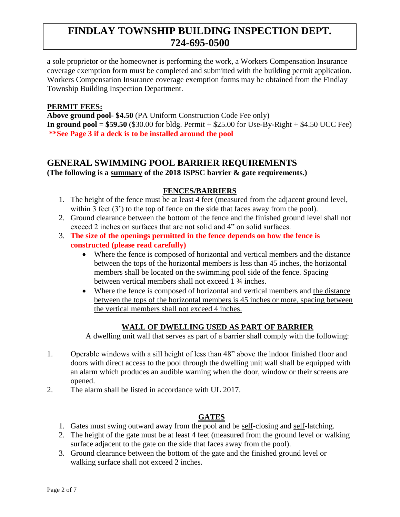a sole proprietor or the homeowner is performing the work, a Workers Compensation Insurance coverage exemption form must be completed and submitted with the building permit application. Workers Compensation Insurance coverage exemption forms may be obtained from the Findlay Township Building Inspection Department.

#### **PERMIT FEES:**

**Above ground pool**- **\$4.50** (PA Uniform Construction Code Fee only) **In ground pool =**  $$59.50$  ( $$30.00$  for bldg. Permit  $+$   $$25.00$  for Use-By-Right  $+$   $$4.50$  UCC Fee) **\*\*See Page 3 if a deck is to be installed around the pool**

### **GENERAL SWIMMING POOL BARRIER REQUIREMENTS (The following is a summary of the 2018 ISPSC barrier & gate requirements.)**

### **FENCES/BARRIERS**

- 1. The height of the fence must be at least 4 feet (measured from the adjacent ground level, within 3 feet (3') to the top of fence on the side that faces away from the pool).
- 2. Ground clearance between the bottom of the fence and the finished ground level shall not exceed 2 inches on surfaces that are not solid and 4" on solid surfaces.
- 3. **The size of the openings permitted in the fence depends on how the fence is constructed (please read carefully)**
	- Where the fence is composed of horizontal and vertical members and the distance between the tops of the horizontal members is less than 45 inches, the horizontal members shall be located on the swimming pool side of the fence. Spacing between vertical members shall not exceed 1  $\frac{3}{4}$  inches.
	- Where the fence is composed of horizontal and vertical members and the distance between the tops of the horizontal members is 45 inches or more, spacing between the vertical members shall not exceed 4 inches.

### **WALL OF DWELLING USED AS PART OF BARRIER**

A dwelling unit wall that serves as part of a barrier shall comply with the following:

- 1. Operable windows with a sill height of less than 48" above the indoor finished floor and doors with direct access to the pool through the dwelling unit wall shall be equipped with an alarm which produces an audible warning when the door, window or their screens are opened.
- 2. The alarm shall be listed in accordance with UL 2017.

#### **GATES**

- 1. Gates must swing outward away from the pool and be self-closing and self-latching.
- 2. The height of the gate must be at least 4 feet (measured from the ground level or walking surface adjacent to the gate on the side that faces away from the pool).
- 3. Ground clearance between the bottom of the gate and the finished ground level or walking surface shall not exceed 2 inches.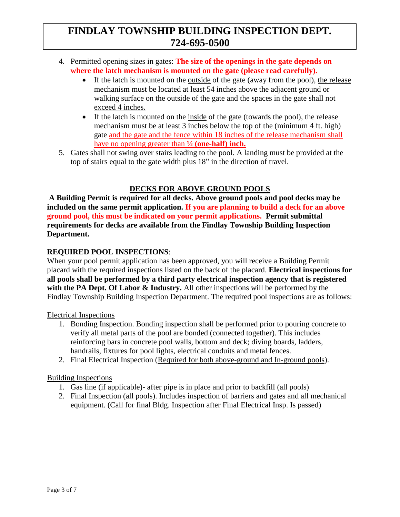- 4. Permitted opening sizes in gates: **The size of the openings in the gate depends on where the latch mechanism is mounted on the gate (please read carefully).**
	- If the latch is mounted on the outside of the gate (away from the pool), the release mechanism must be located at least 54 inches above the adjacent ground or walking surface on the outside of the gate and the spaces in the gate shall not exceed 4 inches.
	- If the latch is mounted on the inside of the gate (towards the pool), the release mechanism must be at least 3 inches below the top of the (minimum 4 ft. high) gate and the gate and the fence within 18 inches of the release mechanism shall have no opening greater than **½ (one-half) inch.**
- 5. Gates shall not swing over stairs leading to the pool. A landing must be provided at the top of stairs equal to the gate width plus 18" in the direction of travel.

## **DECKS FOR ABOVE GROUND POOLS**

**A Building Permit is required for all decks. Above ground pools and pool decks may be included on the same permit application. If you are planning to build a deck for an above ground pool, this must be indicated on your permit applications. Permit submittal requirements for decks are available from the Findlay Township Building Inspection Department.** 

## **REQUIRED POOL INSPECTIONS**:

When your pool permit application has been approved, you will receive a Building Permit placard with the required inspections listed on the back of the placard. **Electrical inspections for all pools shall be performed by a third party electrical inspection agency that is registered with the PA Dept. Of Labor & Industry.** All other inspections will be performed by the Findlay Township Building Inspection Department. The required pool inspections are as follows:

Electrical Inspections

- 1. Bonding Inspection. Bonding inspection shall be performed prior to pouring concrete to verify all metal parts of the pool are bonded (connected together). This includes reinforcing bars in concrete pool walls, bottom and deck; diving boards, ladders, handrails, fixtures for pool lights, electrical conduits and metal fences.
- 2. Final Electrical Inspection (Required for both above-ground and In-ground pools).

### Building Inspections

- 1. Gas line (if applicable)- after pipe is in place and prior to backfill (all pools)
- 2. Final Inspection (all pools). Includes inspection of barriers and gates and all mechanical equipment. (Call for final Bldg. Inspection after Final Electrical Insp. Is passed)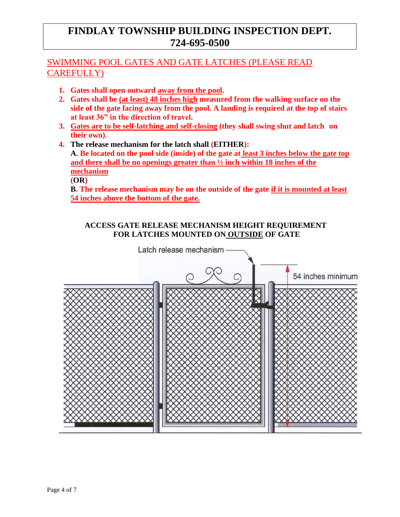## SWIMMING POOL GATES AND GATE LATCHES (PLEASE READ CAREFULLY)

- **1. Gates shall open outward away from the pool.**
- **2. Gates shall be (at least) 48 inches high measured from the walking surface on the side of the gate facing away from the pool. A landing is required at the top of stairs at least 36" in the direction of travel.**
- **3. Gates are to be self-latching and self-closing (they shall swing shut and latch on their own)**.
- **4. The release mechanism for the latch shall (EITHER): A. Be located on the pool side (inside) of the gate at least 3 inches below the gate top and there shall be no openings greater than ½ inch within 18 inches of the mechanism (OR)**

**B. The release mechanism may be on the outside of the gate if it is mounted at least 54 inches above the bottom of the gate.** 

### **ACCESS GATE RELEASE MECHANISM HEIGHT REQUIREMENT FOR LATCHES MOUNTED ON OUTSIDE OF GATE**

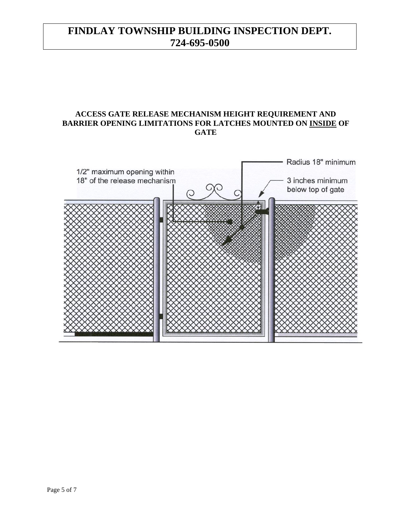### **ACCESS GATE RELEASE MECHANISM HEIGHT REQUIREMENT AND BARRIER OPENING LIMITATIONS FOR LATCHES MOUNTED ON INSIDE OF GATE**

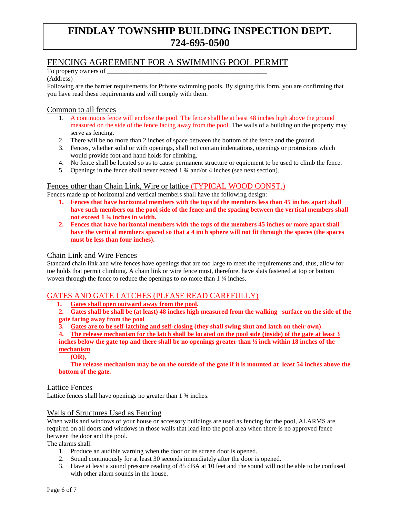## FENCING AGREEMENT FOR A SWIMMING POOL PERMIT

To property owners of \_

#### (Address)

Following are the barrier requirements for Private swimming pools. By signing this form, you are confirming that you have read these requirements and will comply with them.

#### Common to all fences

- 1. A continuous fence will enclose the pool. The fence shall be at least 48 inches high above the ground measured on the side of the fence facing away from the pool. The walls of a building on the property may serve as fencing.
- 2. There will be no more than 2 inches of space between the bottom of the fence and the ground.
- 3. Fences, whether solid or with openings, shall not contain indentations, openings or protrusions which would provide foot and hand holds for climbing.
- 4. No fence shall be located so as to cause permanent structure or equipment to be used to climb the fence.
- 5. Openings in the fence shall never exceed 1 ¾ and/or 4 inches (see next section).

#### Fences other than Chain Link, Wire or lattice (TYPICAL WOOD CONST.)

Fences made up of horizontal and vertical members shall have the following design:

- **1. Fences that have horizontal members with the tops of the members less than 45 inches apart shall have such members on the pool side of the fence and the spacing between the vertical members shall not exceed 1 ¾ inches in width.**
- **2. Fences that have horizontal members with the tops of the members 45 inches or more apart shall have the vertical members spaced so that a 4 inch sphere will not fit through the spaces (the spaces must be less than four inches).**

#### Chain Link and Wire Fences

Standard chain link and wire fences have openings that are too large to meet the requirements and, thus, allow for toe holds that permit climbing. A chain link or wire fence must, therefore, have slats fastened at top or bottom woven through the fence to reduce the openings to no more than 1  $\frac{3}{4}$  inches.

### GATES AND GATE LATCHES (PLEASE READ CAREFULLY)

**1. Gates shall open outward away from the pool.**

**2. Gates shall be shall be (at least) 48 inches high measured from the walking surface on the side of the gate facing away from the pool**

**3. Gates are to be self-latching and self-closing (they shall swing shut and latch on their own)**.

**4. The release mechanism for the latch shall be located on the pool side (inside) of the gate at least 3 inches below the gate top and there shall be no openings greater than ½ inch within 18 inches of the** 

**mechanism** 

**(OR),**

**The release mechanism may be on the outside of the gate if it is mounted at least 54 inches above the bottom of the gate.** 

#### Lattice Fences

Lattice fences shall have openings no greater than 1 ¾ inches.

#### Walls of Structures Used as Fencing

When walls and windows of your house or accessory buildings are used as fencing for the pool, ALARMS are required on all doors and windows in those walls that lead into the pool area when there is no approved fence between the door and the pool.

The alarms shall:

- 1. Produce an audible warning when the door or its screen door is opened.
- 2. Sound continuously for at least 30 seconds immediately after the door is opened.
- 3. Have at least a sound pressure reading of 85 dBA at 10 feet and the sound will not be able to be confused with other alarm sounds in the house.